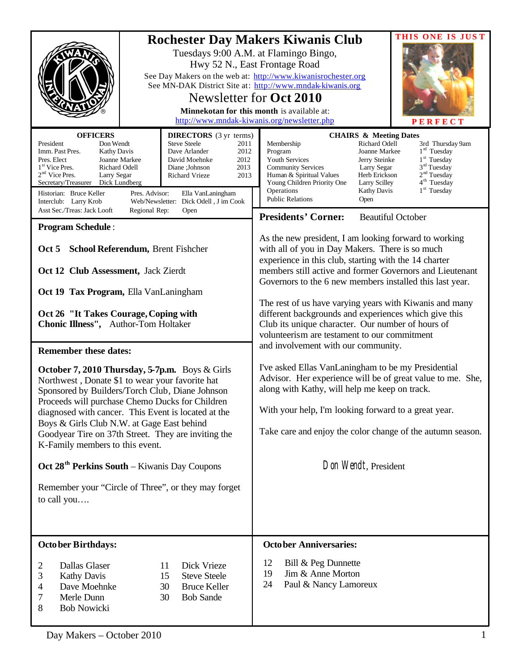| <b>OFFICERS</b><br><b>DIRECTORS</b> (3 yr terms)<br>Don Wendt<br><b>Steve Steele</b><br>President<br>2011<br>Imm. Past Pres.<br>Dave Arlander<br>2012<br><b>Kathy Davis</b><br>Pres. Elect<br>Joanne Markee<br>David Moehnke<br>2012<br>1 <sup>st</sup> Vice Pres.<br>Richard Odell<br>Diane ;Johnson<br>2013<br>$2nd$ Vice Pres.<br>Larry Segar<br>Richard Vrieze<br>2013<br>Secretary/Treasurer<br>Dick Lundberg<br>Historian: Bruce Keller<br>Pres. Advisor:<br>Ella VanLaningham<br>Interclub: Larry Krob<br>Web/Newsletter: Dick Odell, J im Cook<br>Asst Sec./Treas: Jack Looft<br>Regional Rep:<br>Open<br><b>Program Schedule:</b><br>Oct 5 School Referendum, Brent Fishcher<br>Oct 12 Club Assessment, Jack Zierdt<br>Oct 19 Tax Program, Ella VanLaningham<br>Oct 26 "It Takes Courage, Coping with<br>Chonic Illness", Author-Tom Holtaker | THIS ONE IS JUST<br><b>Rochester Day Makers Kiwanis Club</b><br>Tuesdays 9:00 A.M. at Flamingo Bingo,<br>Hwy 52 N., East Frontage Road<br>See Day Makers on the web at: http://www.kiwanisrochester.org<br>See MN-DAK District Site at: http://www.mndak-kiwanis.org<br>Newsletter for Oct 2010<br>Minnekotan for this month is available at:<br>http://www.mndak-kiwanis.org/newsletter.php<br>PERFECT<br><b>CHAIRS &amp; Meeting Dates</b><br>Richard Odell<br>Membership<br>3rd Thursday 9am<br>$1rd$ Tuesday<br>Joanne Markee<br>Program<br>1 <sup>st</sup> Tuesday<br>Youth Services<br>Jerry Steinke<br>3 <sup>rd</sup> Tuesday<br><b>Community Services</b><br>Larry Segar<br>2 <sup>nd</sup> Tuesday<br>Herb Erickson<br>Human & Spiritual Values<br>4 <sup>th</sup> Tuesday<br>Young Children Priority One<br><b>Larry Scilley</b><br>1 <sup>st</sup> Tuesday<br>Operations<br><b>Kathy Davis</b><br><b>Public Relations</b><br>Open<br><b>Presidents' Corner:</b><br><b>Beautiful October</b><br>As the new president, I am looking forward to working<br>with all of you in Day Makers. There is so much<br>experience in this club, starting with the 14 charter<br>members still active and former Governors and Lieutenant<br>Governors to the 6 new members installed this last year.<br>The rest of us have varying years with Kiwanis and many<br>different backgrounds and experiences which give this<br>Club its unique character. Our number of hours of<br>volunteerism are testament to our commitment<br>and involvement with our community.<br>I've asked Ellas VanLaningham to be my Presidential<br>Advisor. Her experience will be of great value to me. She,<br>along with Kathy, will help me keep on track.<br>With your help, I'm looking forward to a great year.<br>Take care and enjoy the color change of the autumn season. |  |
|--------------------------------------------------------------------------------------------------------------------------------------------------------------------------------------------------------------------------------------------------------------------------------------------------------------------------------------------------------------------------------------------------------------------------------------------------------------------------------------------------------------------------------------------------------------------------------------------------------------------------------------------------------------------------------------------------------------------------------------------------------------------------------------------------------------------------------------------------------|------------------------------------------------------------------------------------------------------------------------------------------------------------------------------------------------------------------------------------------------------------------------------------------------------------------------------------------------------------------------------------------------------------------------------------------------------------------------------------------------------------------------------------------------------------------------------------------------------------------------------------------------------------------------------------------------------------------------------------------------------------------------------------------------------------------------------------------------------------------------------------------------------------------------------------------------------------------------------------------------------------------------------------------------------------------------------------------------------------------------------------------------------------------------------------------------------------------------------------------------------------------------------------------------------------------------------------------------------------------------------------------------------------------------------------------------------------------------------------------------------------------------------------------------------------------------------------------------------------------------------------------------------------------------------------------------------------------------------------------------------------------------------------------------------------------------------------------------------------------|--|
| October 7, 2010 Thursday, 5-7p.m. Boys & Girls<br>Northwest, Donate \$1 to wear your favorite hat<br>Sponsored by Builders/Torch Club, Diane Johnson<br>Proceeds will purchase Chemo Ducks for Children<br>diagnosed with cancer. This Event is located at the<br>Boys & Girls Club N.W. at Gage East behind<br>Goodyear Tire on 37th Street. They are inviting the<br>K-Family members to this event.                                                                                                                                                                                                                                                                                                                                                                                                                                                 |                                                                                                                                                                                                                                                                                                                                                                                                                                                                                                                                                                                                                                                                                                                                                                                                                                                                                                                                                                                                                                                                                                                                                                                                                                                                                                                                                                                                                                                                                                                                                                                                                                                                                                                                                                                                                                                                  |  |
| Oct 28 <sup>th</sup> Perkins South – Kiwanis Day Coupons<br>Remember your "Circle of Three", or they may forget<br>to call you                                                                                                                                                                                                                                                                                                                                                                                                                                                                                                                                                                                                                                                                                                                         | Don Wendt, President                                                                                                                                                                                                                                                                                                                                                                                                                                                                                                                                                                                                                                                                                                                                                                                                                                                                                                                                                                                                                                                                                                                                                                                                                                                                                                                                                                                                                                                                                                                                                                                                                                                                                                                                                                                                                                             |  |
| <b>October Birthdays:</b><br>Dallas Glaser<br>$\overline{2}$<br>Dick Vrieze<br>11<br>$\mathfrak{Z}$<br><b>Kathy Davis</b><br>15<br><b>Steve Steele</b><br>$\overline{\mathcal{A}}$<br>Dave Moehnke<br><b>Bruce Keller</b><br>30<br>7<br>Merle Dunn<br>30<br><b>Bob Sande</b><br>8<br><b>Bob Nowicki</b>                                                                                                                                                                                                                                                                                                                                                                                                                                                                                                                                                | <b>October Anniversaries:</b><br>12<br>Bill & Peg Dunnette<br>Jim & Anne Morton<br>19<br>Paul & Nancy Lamoreux<br>24                                                                                                                                                                                                                                                                                                                                                                                                                                                                                                                                                                                                                                                                                                                                                                                                                                                                                                                                                                                                                                                                                                                                                                                                                                                                                                                                                                                                                                                                                                                                                                                                                                                                                                                                             |  |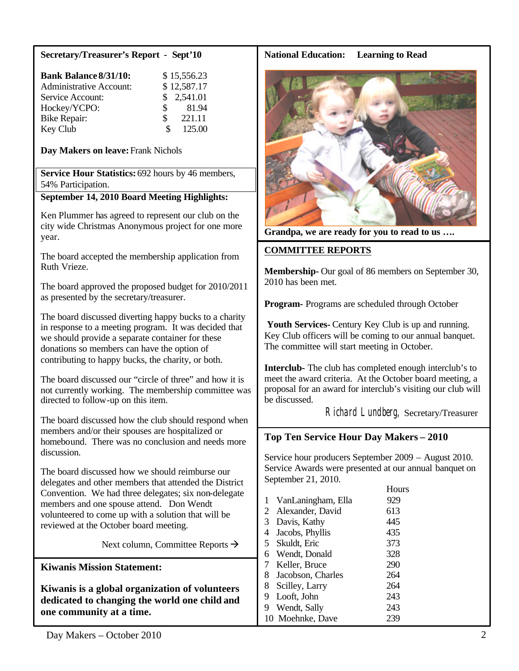## **Secretary/Treasurer's Report - Sept'10**

| <b>Bank Balance 8/31/10:</b>   | \$15,556.23   |
|--------------------------------|---------------|
| <b>Administrative Account:</b> | \$12,587.17   |
| Service Account:               | \$2,541.01    |
| Hockey/YCPO:                   | 81.94<br>S.   |
| <b>Bike Repair:</b>            | 221.11<br>\$. |
| Key Club                       | 125.00        |

**Day Makers on leave:**Frank Nichols

**Service Hour Statistics:** 692 hours by 46 members, 54% Participation.

# **September 14, 2010 Board Meeting Highlights:**

Ken Plummer has agreed to represent our club on the city wide Christmas Anonymous project for one more year.

The board accepted the membership application from Ruth Vrieze.

The board approved the proposed budget for 2010/2011 as presented by the secretary/treasurer.

The board discussed diverting happy bucks to a charity in response to a meeting program. It was decided that we should provide a separate container for these donations so members can have the option of contributing to happy bucks, the charity, or both.

The board discussed our "circle of three" and how it is not currently working. The membership committee was directed to follow-up on this item.

The board discussed how the club should respond when members and/or their spouses are hospitalized or homebound. There was no conclusion and needs more discussion.

The board discussed how we should reimburse our delegates and other members that attended the District Convention. We had three delegates; six non-delegate members and one spouse attend. Don Wendt volunteered to come up with a solution that will be reviewed at the October board meeting.

Next column, Committee Reports  $\rightarrow$ 

**Kiwanis Mission Statement:**

**Kiwanis is a global organization of volunteers dedicated to changing the world one child and one community at a time.**

## **National Education: Learning to Read**



**Grandpa, we are ready for you to read to us ….**

## **COMMITTEE REPORTS**

**Membership-** Our goal of 86 members on September 30, 2010 has been met.

**Program-** Programs are scheduled through October

**Youth Services-** Century Key Club is up and running. Key Club officers will be coming to our annual banquet. The committee will start meeting in October.

**Interclub-** The club has completed enough interclub's to meet the award criteria. At the October board meeting, a proposal for an award for interclub's visiting our club will be discussed.

Richard Lundberg, Secretary/Treasurer

## **Top Ten Service Hour Day Makers – 2010**

Service hour producers September 2009 – August 2010. Service Awards were presented at our annual banquet on September 21, 2010.

|                |                    | Hours |
|----------------|--------------------|-------|
| 1              | VanLaningham, Ella | 929   |
| 2              | Alexander, David   | 613   |
| 3              | Davis, Kathy       | 445   |
| 4              | Jacobs, Phyllis    | 435   |
| 5 <sup>5</sup> | Skuldt, Eric       | 373   |
| 6              | Wendt, Donald      | 328   |
| 7              | Keller, Bruce      | 290   |
| 8              | Jacobson, Charles  | 264   |
| 8              | Scilley, Larry     | 264   |
| 9              | Looft, John        | 243   |
| 9              | Wendt, Sally       | 243   |
|                | 10 Moehnke, Dave   | 239   |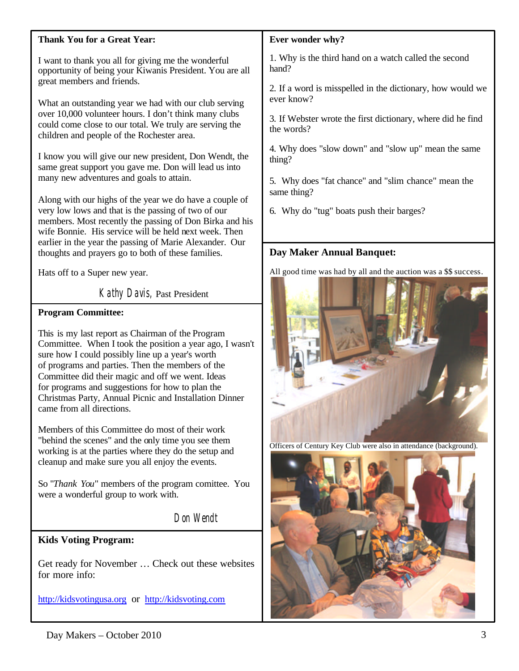## **Thank You for a Great Year:**

I want to thank you all for giving me the wonderful opportunity of being your Kiwanis President. You are all great members and friends.

What an outstanding year we had with our club serving over 10,000 volunteer hours. I don't think many clubs could come close to our total. We truly are serving the children and people of the Rochester area.

I know you will give our new president, Don Wendt, the same great support you gave me. Don will lead us into many new adventures and goals to attain.

Along with our highs of the year we do have a couple of very low lows and that is the passing of two of our members. Most recently the passing of Don Birka and his wife Bonnie. His service will be held next week. Then earlier in the year the passing of Marie Alexander. Our thoughts and prayers go to both of these families.

Hats off to a Super new year.

Kathy Davis, Past President

## **Program Committee:**

This is my last report as Chairman of the Program Committee. When I took the position a year ago, I wasn't sure how I could possibly line up a year's worth of programs and parties. Then the members of the Committee did their magic and off we went. Ideas for programs and suggestions for how to plan the Christmas Party, Annual Picnic and Installation Dinner came from all directions.

Members of this Committee do most of their work "behind the scenes" and the only time you see them working is at the parties where they do the setup and cleanup and make sure you all enjoy the events.

So "*Thank You*" members of the program comittee. You were a wonderful group to work with.

Don Wendt

# **Kids Voting Program:**

Get ready for November … Check out these websites for more info:

<http://kidsvotingusa.org> or <http://kidsvoting.com>

## **Ever wonder why?**

1. Why is the third hand on a watch called the second hand?

2. If a word is misspelled in the dictionary, how would we ever know?

3. If Webster wrote the first dictionary, where did he find the words?

4. Why does "slow down" and "slow up" mean the same thing?

5. Why does "fat chance" and "slim chance" mean the same thing?

6. Why do "tug" boats push their barges?

# **Day Maker Annual Banquet:**

All good time was had by all and the auction was a \$\$ success.



Officers of Century Key Club were also in attendance (background).